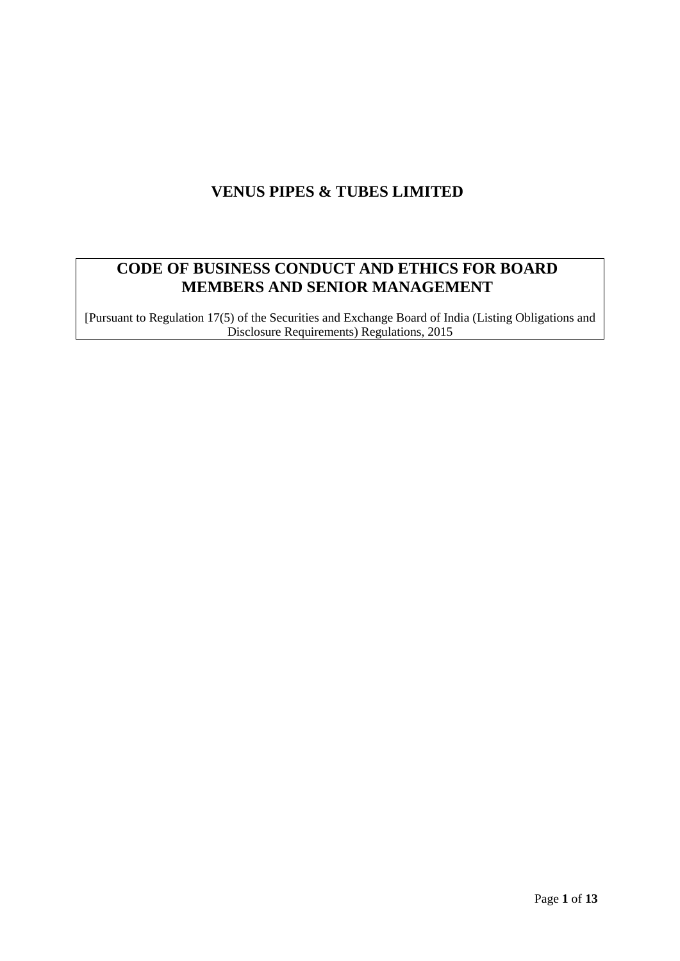# **VENUS PIPES & TUBES LIMITED**

# **CODE OF BUSINESS CONDUCT AND ETHICS FOR BOARD MEMBERS AND SENIOR MANAGEMENT**

[Pursuant to Regulation 17(5) of the Securities and Exchange Board of India (Listing Obligations and Disclosure Requirements) Regulations, 2015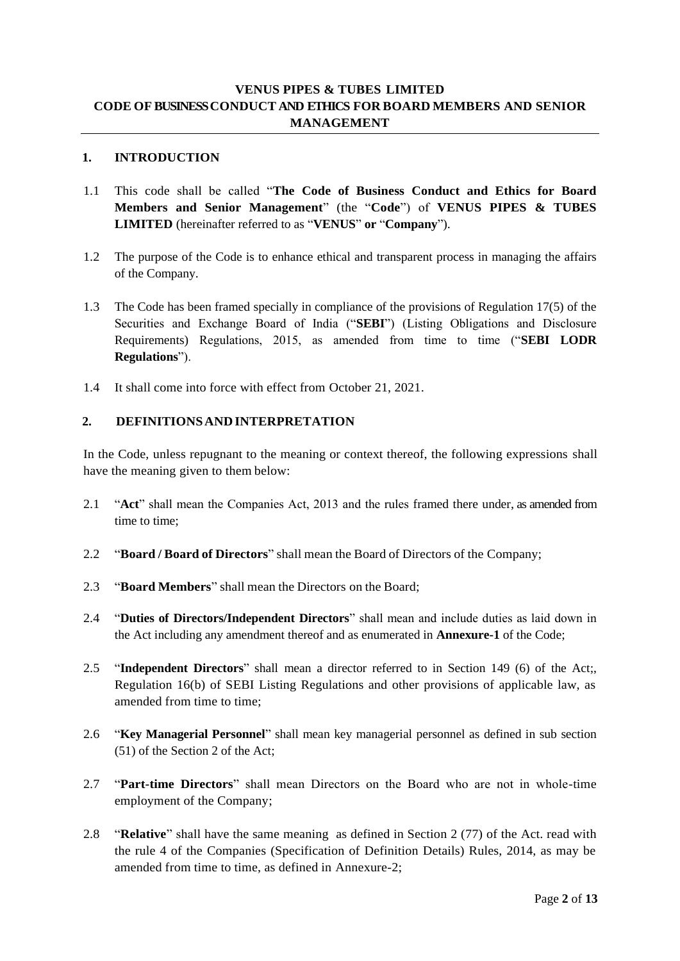# **VENUS PIPES & TUBES LIMITED CODE OFBUSINESS CONDUCT AND ETHICS FOR BOARD MEMBERS AND SENIOR MANAGEMENT**

### **1. INTRODUCTION**

- 1.1 This code shall be called "**The Code of Business Conduct and Ethics for Board Members and Senior Management**" (the "**Code**") of **VENUS PIPES & TUBES LIMITED** (hereinafter referred to as "**VENUS**" **or** "**Company**").
- 1.2 The purpose of the Code is to enhance ethical and transparent process in managing the affairs of the Company.
- 1.3 The Code has been framed specially in compliance of the provisions of Regulation 17(5) of the Securities and Exchange Board of India ("**SEBI**") (Listing Obligations and Disclosure Requirements) Regulations, 2015, as amended from time to time ("**SEBI LODR Regulations**").
- 1.4 It shall come into force with effect from October 21, 2021.

### **2. DEFINITIONSANDINTERPRETATION**

In the Code, unless repugnant to the meaning or context thereof, the following expressions shall have the meaning given to them below:

- 2.1 "**Act**" shall mean the Companies Act, 2013 and the rules framed there under, as amended from time to time;
- 2.2 "**Board / Board of Directors**" shall mean the Board of Directors of the Company;
- 2.3 "**Board Members**" shall mean the Directors on the Board;
- 2.4 "**Duties of Directors/Independent Directors**" shall mean and include duties as laid down in the Act including any amendment thereof and as enumerated in **Annexure-1** of the Code;
- 2.5 "**Independent Directors**" shall mean a director referred to in Section 149 (6) of the Act;, Regulation 16(b) of SEBI Listing Regulations and other provisions of applicable law, as amended from time to time;
- 2.6 "**Key Managerial Personnel**" shall mean key managerial personnel as defined in sub section (51) of the Section 2 of the Act;
- 2.7 "**Part-time Directors**" shall mean Directors on the Board who are not in whole-time employment of the Company;
- 2.8 "**Relative**" shall have the same meaning as defined in Section 2 (77) of the Act. read with the rule 4 of the Companies (Specification of Definition Details) Rules, 2014, as may be amended from time to time, as defined in Annexure-2;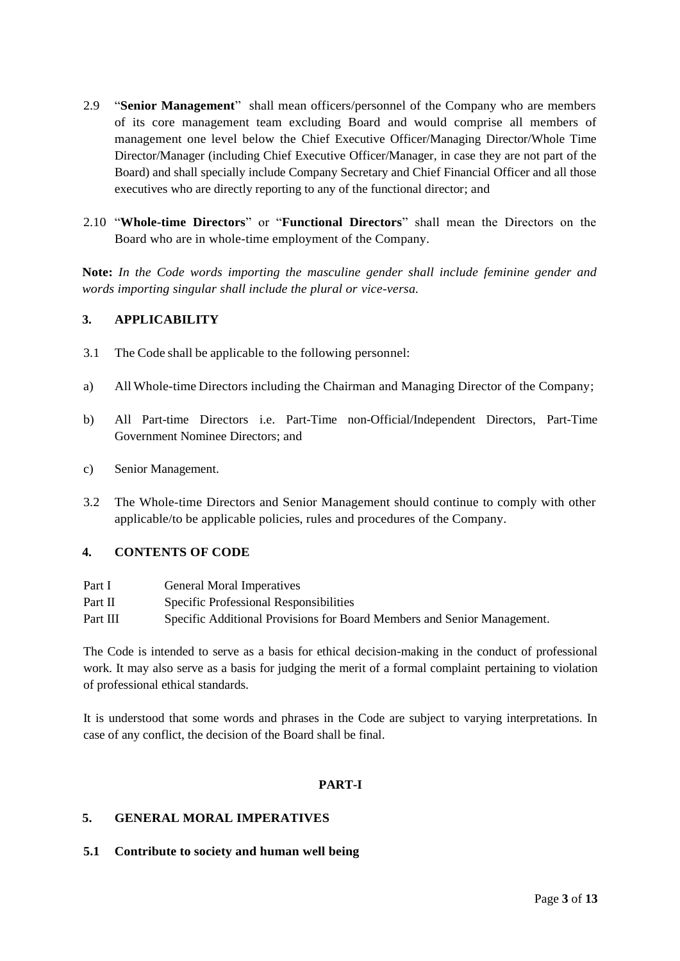- 2.9 "**Senior Management**" shall mean officers/personnel of the Company who are members of its core management team excluding Board and would comprise all members of management one level below the Chief Executive Officer/Managing Director/Whole Time Director/Manager (including Chief Executive Officer/Manager, in case they are not part of the Board) and shall specially include Company Secretary and Chief Financial Officer and all those executives who are directly reporting to any of the functional director; and
- 2.10 "**Whole-time Directors**" or "**Functional Directors**" shall mean the Directors on the Board who are in whole-time employment of the Company.

**Note:** *In the Code words importing the masculine gender shall include feminine gender and words importing singular shall include the plural or vice-versa.*

# **3. APPLICABILITY**

- 3.1 The Code shall be applicable to the following personnel:
- a) All Whole-time Directors including the Chairman and Managing Director of the Company;
- b) All Part-time Directors i.e. Part-Time non-Official/Independent Directors, Part-Time Government Nominee Directors; and
- c) Senior Management.
- 3.2 The Whole-time Directors and Senior Management should continue to comply with other applicable/to be applicable policies, rules and procedures of the Company.

#### **4. CONTENTS OF CODE**

- Part I General Moral Imperatives
- Part II Specific Professional Responsibilities
- Part III Specific Additional Provisions for Board Members and Senior Management.

The Code is intended to serve as a basis for ethical decision-making in the conduct of professional work. It may also serve as a basis for judging the merit of a formal complaint pertaining to violation of professional ethical standards.

It is understood that some words and phrases in the Code are subject to varying interpretations. In case of any conflict, the decision of the Board shall be final.

#### **PART-I**

#### **5. GENERAL MORAL IMPERATIVES**

#### **5.1 Contribute to society and human well being**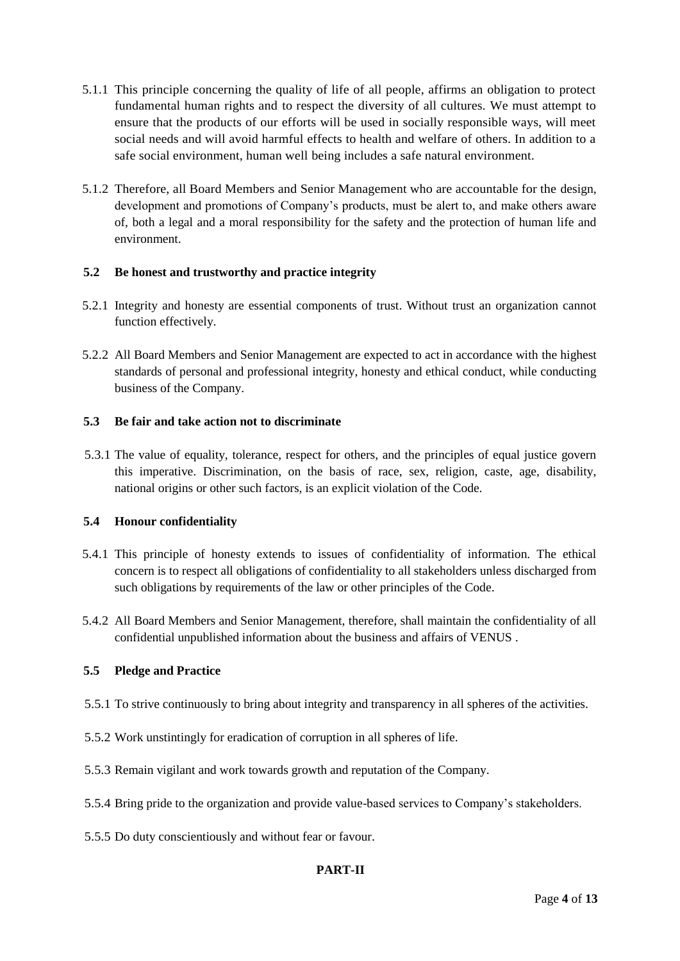- 5.1.1 This principle concerning the quality of life of all people, affirms an obligation to protect fundamental human rights and to respect the diversity of all cultures. We must attempt to ensure that the products of our efforts will be used in socially responsible ways, will meet social needs and will avoid harmful effects to health and welfare of others. In addition to a safe social environment, human well being includes a safe natural environment.
- 5.1.2 Therefore, all Board Members and Senior Management who are accountable for the design, development and promotions of Company's products, must be alert to, and make others aware of, both a legal and a moral responsibility for the safety and the protection of human life and environment.

# **5.2 Be honest and trustworthy and practice integrity**

- 5.2.1 Integrity and honesty are essential components of trust. Without trust an organization cannot function effectively.
- 5.2.2 All Board Members and Senior Management are expected to act in accordance with the highest standards of personal and professional integrity, honesty and ethical conduct, while conducting business of the Company.

### **5.3 Be fair and take action not to discriminate**

5.3.1 The value of equality, tolerance, respect for others, and the principles of equal justice govern this imperative. Discrimination, on the basis of race, sex, religion, caste, age, disability, national origins or other such factors, is an explicit violation of the Code.

#### **5.4 Honour confidentiality**

- 5.4.1 This principle of honesty extends to issues of confidentiality of information. The ethical concern is to respect all obligations of confidentiality to all stakeholders unless discharged from such obligations by requirements of the law or other principles of the Code.
- 5.4.2 All Board Members and Senior Management, therefore, shall maintain the confidentiality of all confidential unpublished information about the business and affairs of VENUS .

#### **5.5 Pledge and Practice**

- 5.5.1 To strive continuously to bring about integrity and transparency in all spheres of the activities.
- 5.5.2 Work unstintingly for eradication of corruption in all spheres of life.
- 5.5.3 Remain vigilant and work towards growth and reputation of the Company.
- 5.5.4 Bring pride to the organization and provide value-based services to Company's stakeholders.
- 5.5.5 Do duty conscientiously and without fear or favour.

# **PART-II**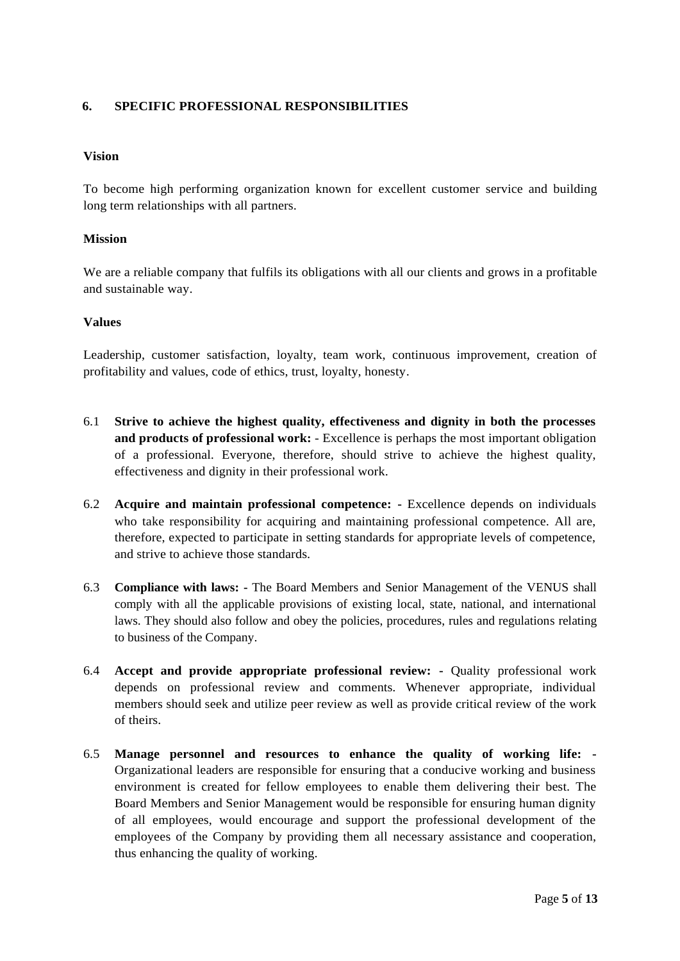# **6. SPECIFIC PROFESSIONAL RESPONSIBILITIES**

### **Vision**

To become high performing organization known for excellent customer service and building long term relationships with all partners.

#### **Mission**

We are a reliable company that fulfils its obligations with all our clients and grows in a profitable and sustainable way.

#### **Values**

Leadership, customer satisfaction, loyalty, team work, continuous improvement, creation of profitability and values, code of ethics, trust, loyalty, honesty.

- 6.1 **Strive to achieve the highest quality, effectiveness and dignity in both the processes and products of professional work:** - Excellence is perhaps the most important obligation of a professional. Everyone, therefore, should strive to achieve the highest quality, effectiveness and dignity in their professional work.
- 6.2 **Acquire and maintain professional competence: -** Excellence depends on individuals who take responsibility for acquiring and maintaining professional competence. All are, therefore, expected to participate in setting standards for appropriate levels of competence, and strive to achieve those standards.
- 6.3 **Compliance with laws: -** The Board Members and Senior Management of the VENUS shall comply with all the applicable provisions of existing local, state, national, and international laws. They should also follow and obey the policies, procedures, rules and regulations relating to business of the Company.
- 6.4 **Accept and provide appropriate professional review: -** Quality professional work depends on professional review and comments. Whenever appropriate, individual members should seek and utilize peer review as well as provide critical review of the work of theirs.
- 6.5 **Manage personnel and resources to enhance the quality of working life: -** Organizational leaders are responsible for ensuring that a conducive working and business environment is created for fellow employees to enable them delivering their best. The Board Members and Senior Management would be responsible for ensuring human dignity of all employees, would encourage and support the professional development of the employees of the Company by providing them all necessary assistance and cooperation, thus enhancing the quality of working.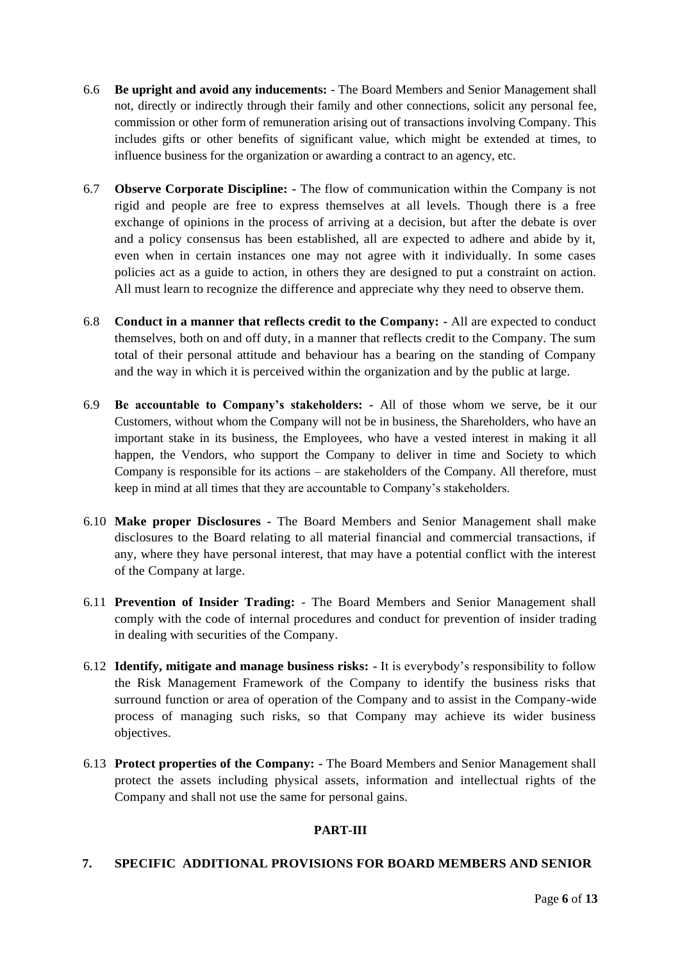- 6.6 **Be upright and avoid any inducements:** The Board Members and Senior Management shall not, directly or indirectly through their family and other connections, solicit any personal fee, commission or other form of remuneration arising out of transactions involving Company. This includes gifts or other benefits of significant value, which might be extended at times, to influence business for the organization or awarding a contract to an agency, etc.
- 6.7 **Observe Corporate Discipline: -** The flow of communication within the Company is not rigid and people are free to express themselves at all levels. Though there is a free exchange of opinions in the process of arriving at a decision, but after the debate is over and a policy consensus has been established, all are expected to adhere and abide by it, even when in certain instances one may not agree with it individually. In some cases policies act as a guide to action, in others they are designed to put a constraint on action. All must learn to recognize the difference and appreciate why they need to observe them.
- 6.8 **Conduct in a manner that reflects credit to the Company: -** All are expected to conduct themselves, both on and off duty, in a manner that reflects credit to the Company. The sum total of their personal attitude and behaviour has a bearing on the standing of Company and the way in which it is perceived within the organization and by the public at large.
- 6.9 **Be accountable to Company's stakeholders: -** All of those whom we serve, be it our Customers, without whom the Company will not be in business, the Shareholders, who have an important stake in its business, the Employees, who have a vested interest in making it all happen, the Vendors, who support the Company to deliver in time and Society to which Company is responsible for its actions – are stakeholders of the Company. All therefore, must keep in mind at all times that they are accountable to Company's stakeholders.
- 6.10 **Make proper Disclosures -** The Board Members and Senior Management shall make disclosures to the Board relating to all material financial and commercial transactions, if any, where they have personal interest, that may have a potential conflict with the interest of the Company at large.
- 6.11 **Prevention of Insider Trading:** The Board Members and Senior Management shall comply with the code of internal procedures and conduct for prevention of insider trading in dealing with securities of the Company.
- 6.12 **Identify, mitigate and manage business risks: -** It is everybody's responsibility to follow the Risk Management Framework of the Company to identify the business risks that surround function or area of operation of the Company and to assist in the Company-wide process of managing such risks, so that Company may achieve its wider business objectives.
- 6.13 **Protect properties of the Company: -** The Board Members and Senior Management shall protect the assets including physical assets, information and intellectual rights of the Company and shall not use the same for personal gains.

# **PART-III**

# **7. SPECIFIC ADDITIONAL PROVISIONS FOR BOARD MEMBERS AND SENIOR**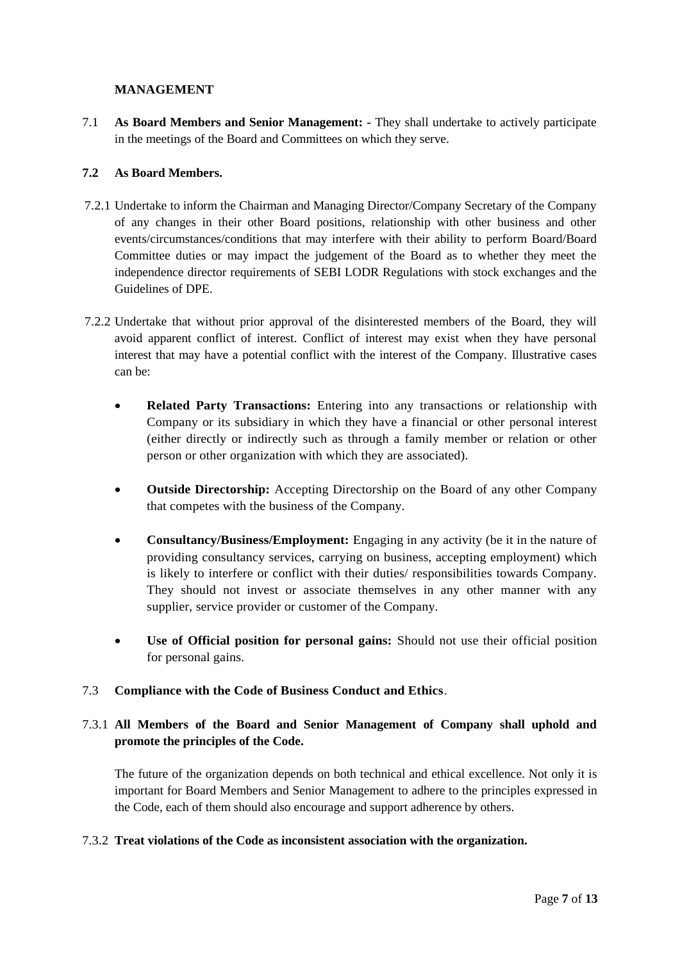# **MANAGEMENT**

7.1 **As Board Members and Senior Management: -** They shall undertake to actively participate in the meetings of the Board and Committees on which they serve.

# **7.2 As Board Members.**

- 7.2.1 Undertake to inform the Chairman and Managing Director/Company Secretary of the Company of any changes in their other Board positions, relationship with other business and other events/circumstances/conditions that may interfere with their ability to perform Board/Board Committee duties or may impact the judgement of the Board as to whether they meet the independence director requirements of SEBI LODR Regulations with stock exchanges and the Guidelines of DPE.
- 7.2.2 Undertake that without prior approval of the disinterested members of the Board, they will avoid apparent conflict of interest. Conflict of interest may exist when they have personal interest that may have a potential conflict with the interest of the Company. Illustrative cases can be:
	- **Related Party Transactions:** Entering into any transactions or relationship with Company or its subsidiary in which they have a financial or other personal interest (either directly or indirectly such as through a family member or relation or other person or other organization with which they are associated).
	- **Outside Directorship:** Accepting Directorship on the Board of any other Company that competes with the business of the Company.
	- **Consultancy/Business/Employment:** Engaging in any activity (be it in the nature of providing consultancy services, carrying on business, accepting employment) which is likely to interfere or conflict with their duties/ responsibilities towards Company. They should not invest or associate themselves in any other manner with any supplier, service provider or customer of the Company.
	- **Use of Official position for personal gains:** Should not use their official position for personal gains.

#### 7.3 **Compliance with the Code of Business Conduct and Ethics**.

# 7.3.1 **All Members of the Board and Senior Management of Company shall uphold and promote the principles of the Code.**

The future of the organization depends on both technical and ethical excellence. Not only it is important for Board Members and Senior Management to adhere to the principles expressed in the Code, each of them should also encourage and support adherence by others.

#### 7.3.2 **Treat violations of the Code as inconsistent association with the organization.**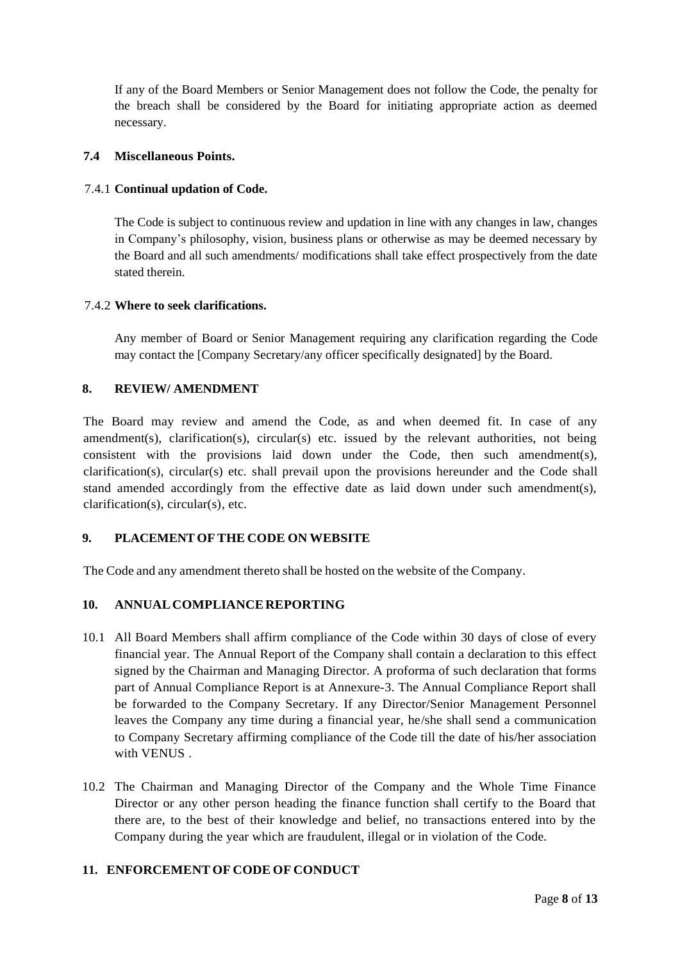If any of the Board Members or Senior Management does not follow the Code, the penalty for the breach shall be considered by the Board for initiating appropriate action as deemed necessary.

# **7.4 Miscellaneous Points.**

# 7.4.1 **Continual updation of Code.**

The Code is subject to continuous review and updation in line with any changes in law, changes in Company's philosophy, vision, business plans or otherwise as may be deemed necessary by the Board and all such amendments/ modifications shall take effect prospectively from the date stated therein.

# 7.4.2 **Where to seek clarifications.**

Any member of Board or Senior Management requiring any clarification regarding the Code may contact the [Company Secretary/any officer specifically designated] by the Board.

# **8. REVIEW/ AMENDMENT**

The Board may review and amend the Code, as and when deemed fit. In case of any amendment(s), clarification(s), circular(s) etc. issued by the relevant authorities, not being consistent with the provisions laid down under the Code, then such amendment(s), clarification(s), circular(s) etc. shall prevail upon the provisions hereunder and the Code shall stand amended accordingly from the effective date as laid down under such amendment(s), clarification(s), circular(s), etc.

# **9. PLACEMENT OF THE CODE ON WEBSITE**

The Code and any amendment thereto shall be hosted on the website of the Company.

# **10. ANNUALCOMPLIANCEREPORTING**

- 10.1 All Board Members shall affirm compliance of the Code within 30 days of close of every financial year. The Annual Report of the Company shall contain a declaration to this effect signed by the Chairman and Managing Director. A proforma of such declaration that forms part of Annual Compliance Report is at Annexure-3. The Annual Compliance Report shall be forwarded to the Company Secretary. If any Director/Senior Management Personnel leaves the Company any time during a financial year, he/she shall send a communication to Company Secretary affirming compliance of the Code till the date of his/her association with VENUS .
- 10.2 The Chairman and Managing Director of the Company and the Whole Time Finance Director or any other person heading the finance function shall certify to the Board that there are, to the best of their knowledge and belief, no transactions entered into by the Company during the year which are fraudulent, illegal or in violation of the Code.

# **11. ENFORCEMENT OF CODE OF CONDUCT**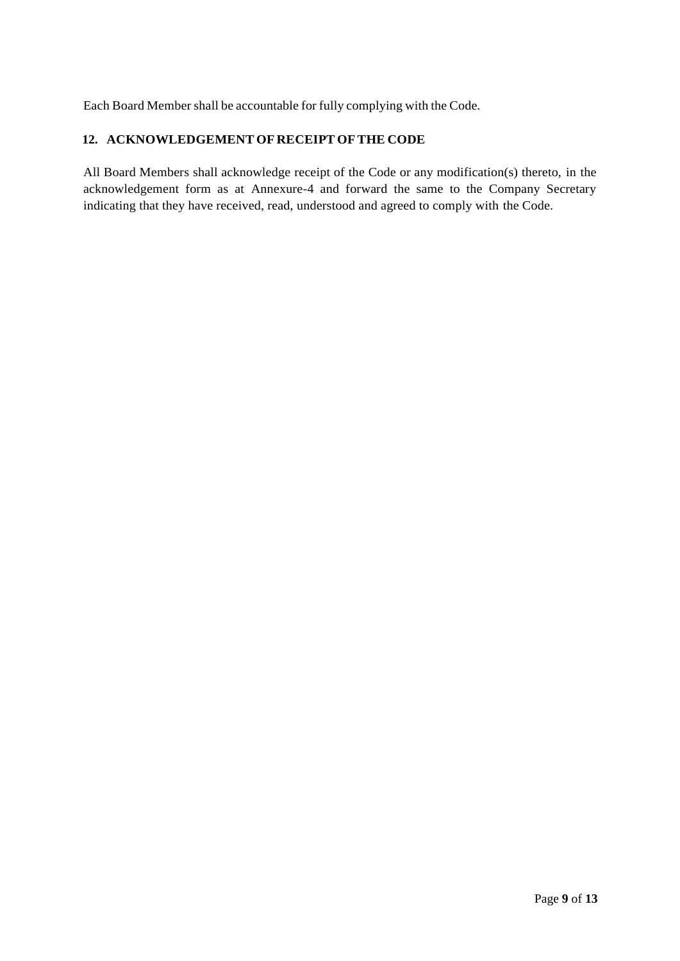Each Board Member shall be accountable for fully complying with the Code.

# **12. ACKNOWLEDGEMENT OF RECEIPT OFTHE CODE**

All Board Members shall acknowledge receipt of the Code or any modification(s) thereto, in the acknowledgement form as at Annexure-4 and forward the same to the Company Secretary indicating that they have received, read, understood and agreed to comply with the Code.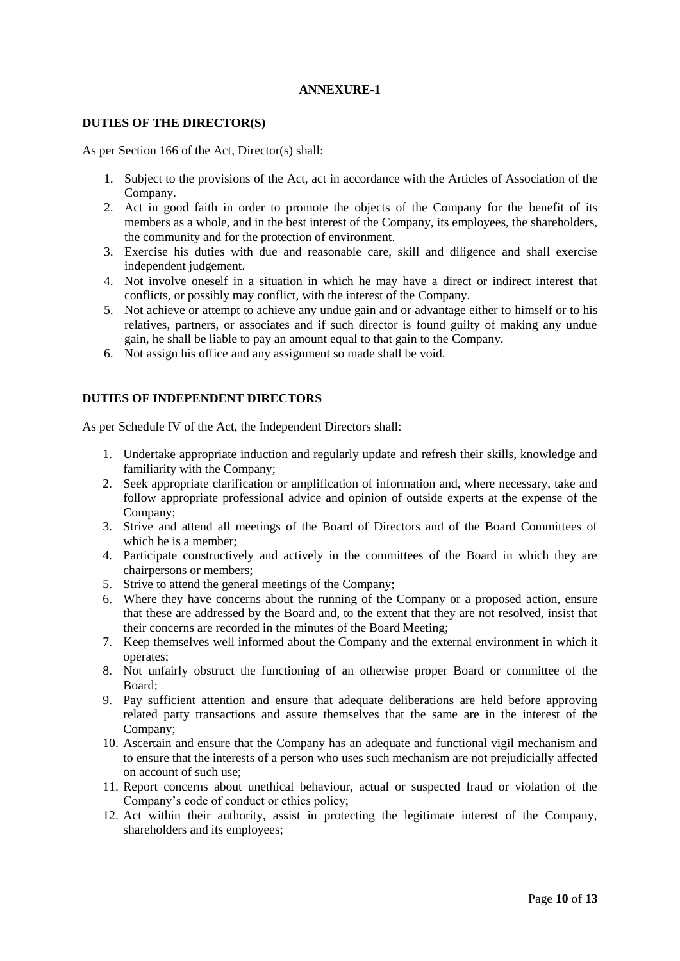#### **ANNEXURE-1**

#### **DUTIES OF THE DIRECTOR(S)**

As per Section 166 of the Act, Director(s) shall:

- 1. Subject to the provisions of the Act, act in accordance with the Articles of Association of the Company.
- 2. Act in good faith in order to promote the objects of the Company for the benefit of its members as a whole, and in the best interest of the Company, its employees, the shareholders, the community and for the protection of environment.
- 3. Exercise his duties with due and reasonable care, skill and diligence and shall exercise independent judgement.
- 4. Not involve oneself in a situation in which he may have a direct or indirect interest that conflicts, or possibly may conflict, with the interest of the Company.
- 5. Not achieve or attempt to achieve any undue gain and or advantage either to himself or to his relatives, partners, or associates and if such director is found guilty of making any undue gain, he shall be liable to pay an amount equal to that gain to the Company.
- 6. Not assign his office and any assignment so made shall be void.

#### **DUTIES OF INDEPENDENT DIRECTORS**

As per Schedule IV of the Act, the Independent Directors shall:

- 1. Undertake appropriate induction and regularly update and refresh their skills, knowledge and familiarity with the Company;
- 2. Seek appropriate clarification or amplification of information and, where necessary, take and follow appropriate professional advice and opinion of outside experts at the expense of the Company;
- 3. Strive and attend all meetings of the Board of Directors and of the Board Committees of which he is a member;
- 4. Participate constructively and actively in the committees of the Board in which they are chairpersons or members;
- 5. Strive to attend the general meetings of the Company;
- 6. Where they have concerns about the running of the Company or a proposed action, ensure that these are addressed by the Board and, to the extent that they are not resolved, insist that their concerns are recorded in the minutes of the Board Meeting;
- 7. Keep themselves well informed about the Company and the external environment in which it operates;
- 8. Not unfairly obstruct the functioning of an otherwise proper Board or committee of the Board;
- 9. Pay sufficient attention and ensure that adequate deliberations are held before approving related party transactions and assure themselves that the same are in the interest of the Company;
- 10. Ascertain and ensure that the Company has an adequate and functional vigil mechanism and to ensure that the interests of a person who uses such mechanism are not prejudicially affected on account of such use;
- 11. Report concerns about unethical behaviour, actual or suspected fraud or violation of the Company's code of conduct or ethics policy;
- 12. Act within their authority, assist in protecting the legitimate interest of the Company, shareholders and its employees;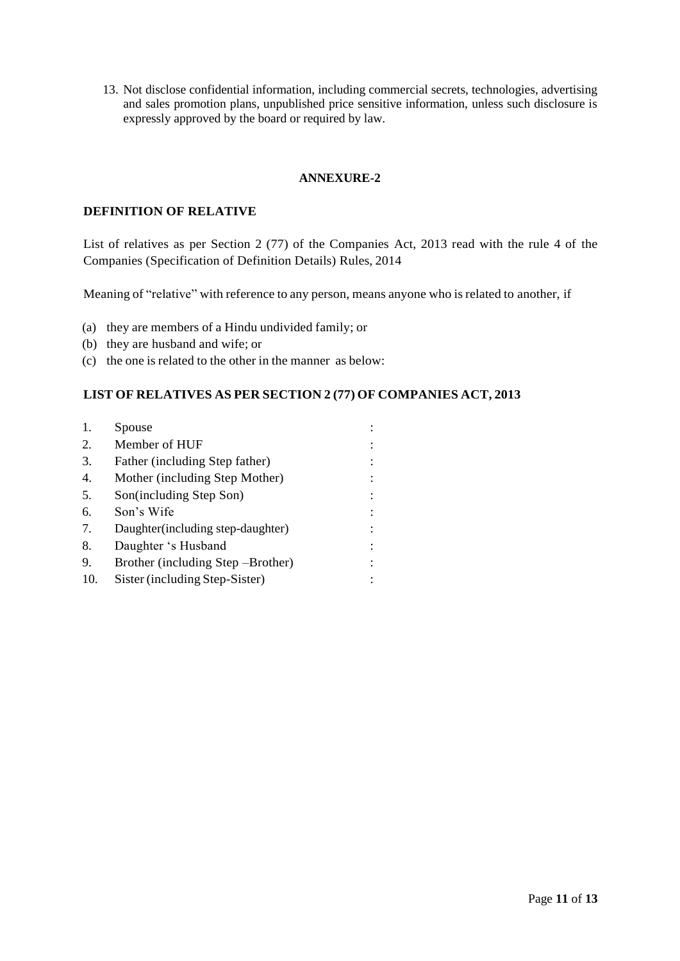13. Not disclose confidential information, including commercial secrets, technologies, advertising and sales promotion plans, unpublished price sensitive information, unless such disclosure is expressly approved by the board or required by law.

#### **ANNEXURE-2**

### **DEFINITION OF RELATIVE**

List of relatives as per Section 2 (77) of the Companies Act, 2013 read with the rule 4 of the Companies (Specification of Definition Details) Rules, 2014

Meaning of "relative" with reference to any person, means anyone who is related to another, if

- (a) they are members of a Hindu undivided family; or
- (b) they are husband and wife; or
- (c) the one is related to the other in the manner as below:

### **LIST OF RELATIVES AS PER SECTION 2 (77) OF COMPANIES ACT, 2013**

| 1.  | Spouse                             |  |
|-----|------------------------------------|--|
| 2.  | Member of HUF                      |  |
| 3.  | Father (including Step father)     |  |
| 4.  | Mother (including Step Mother)     |  |
| 5.  | Son(including Step Son)            |  |
| 6.  | Son's Wife                         |  |
| 7.  | Daughter (including step-daughter) |  |
| 8.  | Daughter 's Husband                |  |
| 9.  | Brother (including Step – Brother) |  |
| 10. | Sister (including Step-Sister)     |  |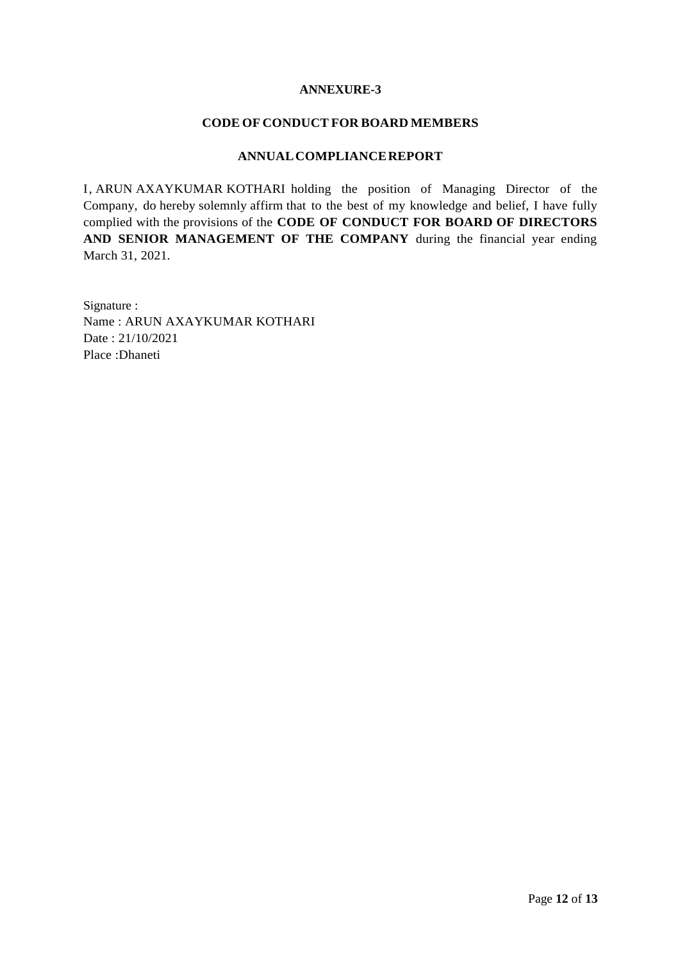#### **ANNEXURE-3**

#### **CODE OF CONDUCT FOR BOARD MEMBERS**

### **ANNUALCOMPLIANCEREPORT**

I, ARUN AXAYKUMAR KOTHARI holding the position of Managing Director of the Company, do hereby solemnly affirm that to the best of my knowledge and belief, I have fully complied with the provisions of the **CODE OF CONDUCT FOR BOARD OF DIRECTORS AND SENIOR MANAGEMENT OF THE COMPANY** during the financial year ending March 31, 2021.

Signature : Name : ARUN AXAYKUMAR KOTHARI Date : 21/10/2021 Place :Dhaneti